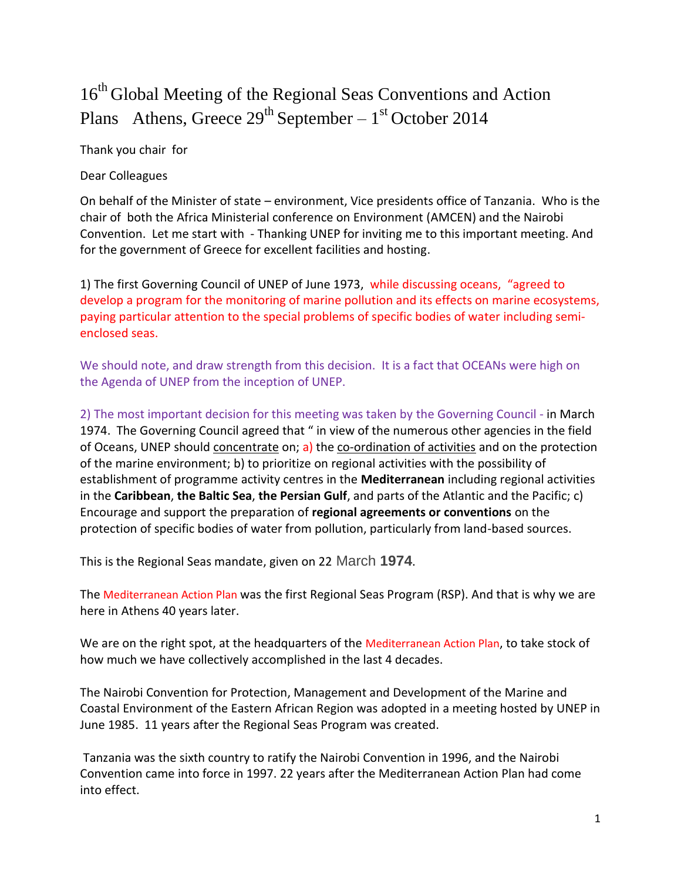## 16<sup>th</sup> Global Meeting of the Regional Seas Conventions and Action Plans Athens, Greece  $29^{th}$  September –  $1^{st}$  October 2014

Thank you chair for

Dear Colleagues

On behalf of the Minister of state – environment, Vice presidents office of Tanzania. Who is the chair of both the Africa Ministerial conference on Environment (AMCEN) and the Nairobi Convention. Let me start with - Thanking UNEP for inviting me to this important meeting. And for the government of Greece for excellent facilities and hosting.

1) The first Governing Council of UNEP of June 1973, while discussing oceans, "agreed to develop a program for the monitoring of marine pollution and its effects on marine ecosystems, paying particular attention to the special problems of specific bodies of water including semienclosed seas.

We should note, and draw strength from this decision. It is a fact that OCEANs were high on the Agenda of UNEP from the inception of UNEP.

2) The most important decision for this meeting was taken by the Governing Council - in March 1974. The Governing Council agreed that " in view of the numerous other agencies in the field of Oceans, UNEP should concentrate on; a) the co-ordination of activities and on the protection of the marine environment; b) to prioritize on regional activities with the possibility of establishment of programme activity centres in the **Mediterranean** including regional activities in the **Caribbean**, **the Baltic Sea**, **the Persian Gulf**, and parts of the Atlantic and the Pacific; c) Encourage and support the preparation of **regional agreements or conventions** on the protection of specific bodies of water from pollution, particularly from land-based sources.

This is the Regional Seas mandate, given on 22 March **1974**.

The Mediterranean Action Plan was the first Regional Seas Program (RSP). And that is why we are here in Athens 40 years later.

We are on the right spot, at the headquarters of the Mediterranean Action Plan, to take stock of how much we have collectively accomplished in the last 4 decades.

The Nairobi Convention for Protection, Management and Development of the Marine and Coastal Environment of the Eastern African Region was adopted in a meeting hosted by UNEP in June 1985. 11 years after the Regional Seas Program was created.

Tanzania was the sixth country to ratify the Nairobi Convention in 1996, and the Nairobi Convention came into force in 1997. 22 years after the Mediterranean Action Plan had come into effect.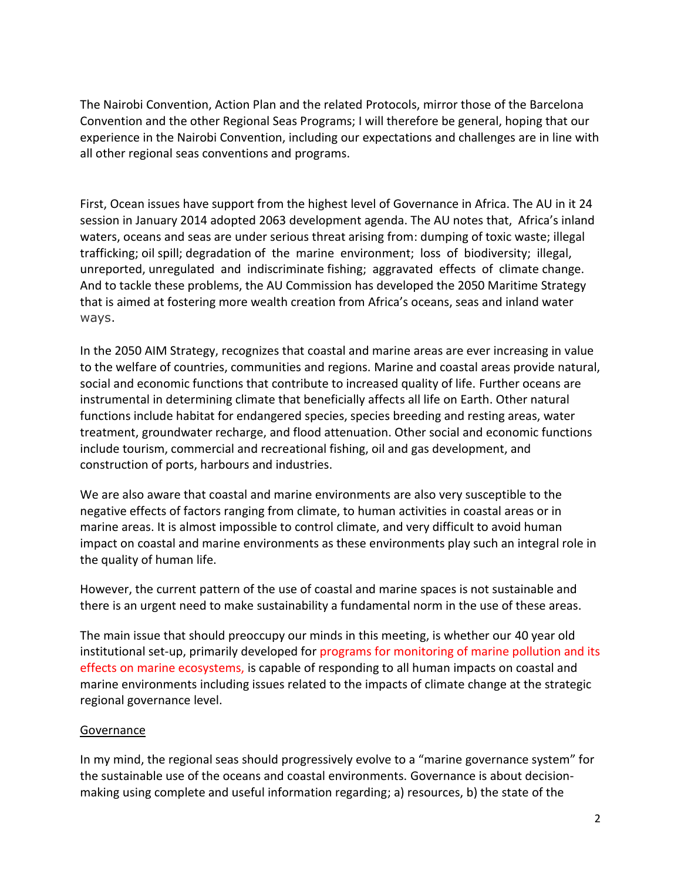The Nairobi Convention, Action Plan and the related Protocols, mirror those of the Barcelona Convention and the other Regional Seas Programs; I will therefore be general, hoping that our experience in the Nairobi Convention, including our expectations and challenges are in line with all other regional seas conventions and programs.

First, Ocean issues have support from the highest level of Governance in Africa. The AU in it 24 session in January 2014 adopted 2063 development agenda. The AU notes that, Africa's inland waters, oceans and seas are under serious threat arising from: dumping of toxic waste; illegal trafficking; oil spill; degradation of the marine environment; loss of biodiversity; illegal, unreported, unregulated and indiscriminate fishing; aggravated effects of climate change. And to tackle these problems, the AU Commission has developed the 2050 Maritime Strategy that is aimed at fostering more wealth creation from Africa's oceans, seas and inland water ways.

In the 2050 AIM Strategy, recognizes that coastal and marine areas are ever increasing in value to the welfare of countries, communities and regions. Marine and coastal areas provide natural, social and economic functions that contribute to increased quality of life. Further oceans are instrumental in determining climate that beneficially affects all life on Earth. Other natural functions include habitat for endangered species, species breeding and resting areas, water treatment, groundwater recharge, and flood attenuation. Other social and economic functions include tourism, commercial and recreational fishing, oil and gas development, and construction of ports, harbours and industries.

We are also aware that coastal and marine environments are also very susceptible to the negative effects of factors ranging from climate, to human activities in coastal areas or in marine areas. It is almost impossible to control climate, and very difficult to avoid human impact on coastal and marine environments as these environments play such an integral role in the quality of human life.

However, the current pattern of the use of coastal and marine spaces is not sustainable and there is an urgent need to make sustainability a fundamental norm in the use of these areas.

The main issue that should preoccupy our minds in this meeting, is whether our 40 year old institutional set-up, primarily developed for programs for monitoring of marine pollution and its effects on marine ecosystems, is capable of responding to all human impacts on coastal and marine environments including issues related to the impacts of climate change at the strategic regional governance level.

## Governance

In my mind, the regional seas should progressively evolve to a "marine governance system" for the sustainable use of the oceans and coastal environments. Governance is about decisionmaking using complete and useful information regarding; a) resources, b) the state of the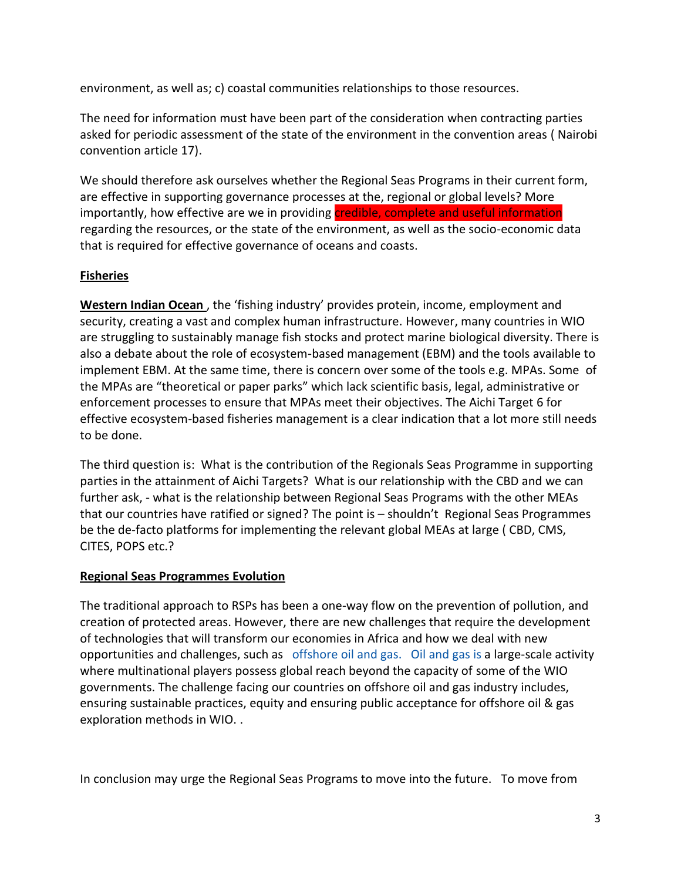environment, as well as; c) coastal communities relationships to those resources.

The need for information must have been part of the consideration when contracting parties asked for periodic assessment of the state of the environment in the convention areas ( Nairobi convention article 17).

We should therefore ask ourselves whether the Regional Seas Programs in their current form, are effective in supporting governance processes at the, regional or global levels? More importantly, how effective are we in providing credible, complete and useful information regarding the resources, or the state of the environment, as well as the socio-economic data that is required for effective governance of oceans and coasts.

## **Fisheries**

**Western Indian Ocean**, the 'fishing industry' provides protein, income, employment and security, creating a vast and complex human infrastructure. However, many countries in WIO are struggling to sustainably manage fish stocks and protect marine biological diversity. There is also a debate about the role of ecosystem-based management (EBM) and the tools available to implement EBM. At the same time, there is concern over some of the tools e.g. MPAs. Some of the MPAs are "theoretical or paper parks" which lack scientific basis, legal, administrative or enforcement processes to ensure that MPAs meet their objectives. The Aichi Target 6 for effective ecosystem-based fisheries management is a clear indication that a lot more still needs to be done.

The third question is: What is the contribution of the Regionals Seas Programme in supporting parties in the attainment of Aichi Targets? What is our relationship with the CBD and we can further ask, - what is the relationship between Regional Seas Programs with the other MEAs that our countries have ratified or signed? The point is – shouldn't Regional Seas Programmes be the de-facto platforms for implementing the relevant global MEAs at large ( CBD, CMS, CITES, POPS etc.?

## **Regional Seas Programmes Evolution**

The traditional approach to RSPs has been a one-way flow on the prevention of pollution, and creation of protected areas. However, there are new challenges that require the development of technologies that will transform our economies in Africa and how we deal with new opportunities and challenges, such as offshore oil and gas. Oil and gas is a large-scale activity where multinational players possess global reach beyond the capacity of some of the WIO governments. The challenge facing our countries on offshore oil and gas industry includes, ensuring sustainable practices, equity and ensuring public acceptance for offshore oil & gas exploration methods in WIO. .

In conclusion may urge the Regional Seas Programs to move into the future. To move from